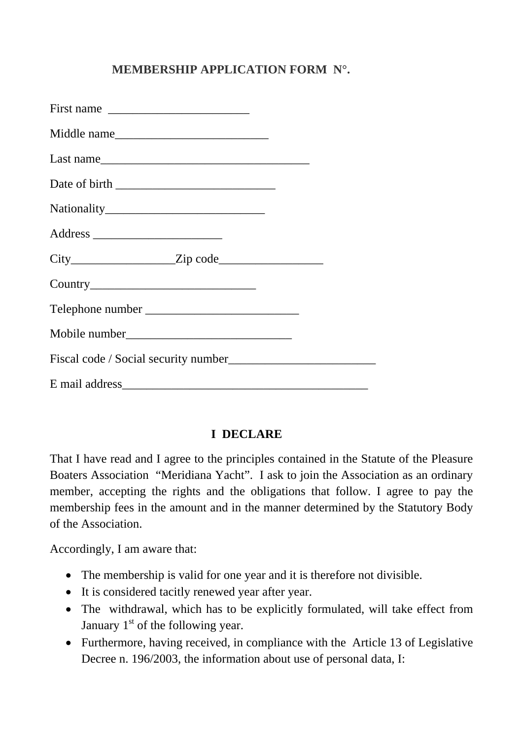## **MEMBERSHIP APPLICATION FORM N°.**

| Middle name |  |
|-------------|--|
| Last name   |  |
|             |  |
|             |  |
|             |  |
|             |  |
|             |  |
|             |  |
|             |  |
|             |  |
|             |  |

## **I DECLARE**

That I have read and I agree to the principles contained in the Statute of the Pleasure Boaters Association "Meridiana Yacht". I ask to join the Association as an ordinary member, accepting the rights and the obligations that follow. I agree to pay the membership fees in the amount and in the manner determined by the Statutory Body of the Association.

Accordingly, I am aware that:

- The membership is valid for one year and it is therefore not divisible.
- It is considered tacitly renewed year after year.
- The withdrawal, which has to be explicitly formulated, will take effect from January  $1<sup>st</sup>$  of the following year.
- Furthermore, having received, in compliance with the Article 13 of Legislative Decree n. 196/2003, the information about use of personal data, I: